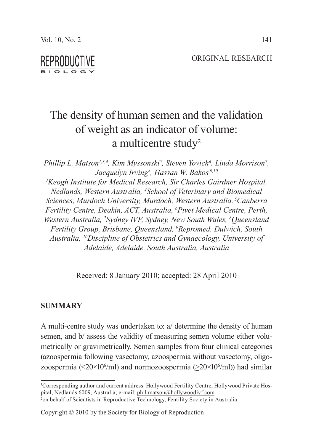ORIGINAL RESEARCH

# The density of human semen and the validation of weight as an indicator of volume: a multicentre study<sup>2</sup>

*Phillip L. Matson<sup>1,3,4</sup>, Kim Myssonski<sup>5</sup>, Steven Yovich<sup>6</sup>, Linda Morrison<sup>7</sup>, Jacquelyn Irving8 , Hassan W. Bakos,9,10 3 Keogh Institute for Medical Research, Sir Charles Gairdner Hospital, Nedlands, Western Australia, 4 School of Veterinary and Biomedical Sciences, Murdoch University, Murdoch, Western Australia, 5Canberra Fertility Centre, Deakin, ACT, Australia, 6 Pivet Medical Centre, Perth, Western Australia, 7 Sydney IVF, Sydney, New South Wales, 8 Queensland Fertility Group, Brisbane, Queensland, 9 Repromed, Dulwich, South Australia, 10Discipline of Obstetrics and Gynaecology, University of Adelaide, Adelaide, South Australia, Australia*

Received: 8 January 2010; accepted: 28 April 2010

### **SUMMARY**

A multi-centre study was undertaken to: a/ determine the density of human semen, and b/ assess the validity of measuring semen volume either volumetrically or gravimetrically. Semen samples from four clinical categories (azoospermia following vasectomy, azoospermia without vasectomy, oligozoospermia (< $20 \times 10^6$ /ml) and normozoospermia ( $\geq 20 \times 10^6$ /ml)) had similar

<sup>1</sup> Corresponding author and current address: Hollywood Fertility Centre, Hollywood Private Hospital, Nedlands 6009, Australia; e-mail: phil.matson@hollywoodivf.com 2 on behalf of Scientists in Reproductive Technology, Fentility Society in Australia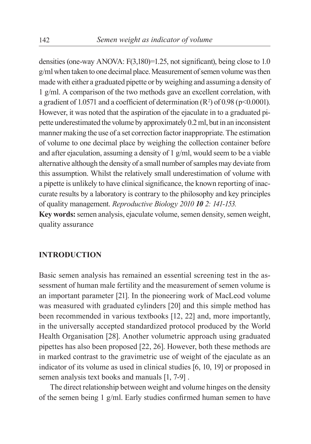densities (one-way ANOVA:  $F(3,180)=1.25$ , not significant), being close to 1.0 g/ml when taken to one decimal place. Measurement of semen volume was then made with either a graduated pipette or by weighing and assuming a density of 1 g/ml. A comparison of the two methods gave an excellent correlation, with a gradient of 1.0571 and a coefficient of determination  $(R^2)$  of 0.98 (p<0.0001). However, it was noted that the aspiration of the ejaculate in to a graduated pipette underestimated the volume by approximately 0.2 ml, but in an inconsistent manner making the use of a set correction factor inappropriate. The estimation of volume to one decimal place by weighing the collection container before and after ejaculation, assuming a density of 1 g/ml, would seem to be a viable alternative although the density of a small number of samples may deviate from this assumption. Whilst the relatively small underestimation of volume with a pipette is unlikely to have clinical significance, the known reporting of inaccurate results by a laboratory is contrary to the philosophy and key principles of quality management. *Reproductive Biology 2010 10 2: 141-153.*

**Key words:** semen analysis, ejaculate volume, semen density, semen weight, quality assurance

## **INTRODUCTION**

Basic semen analysis has remained an essential screening test in the assessment of human male fertility and the measurement of semen volume is an important parameter [21]. In the pioneering work of MacLeod volume was measured with graduated cylinders [20] and this simple method has been recommended in various textbooks [12, 22] and, more importantly, in the universally accepted standardized protocol produced by the World Health Organisation [28]. Another volumetric approach using graduated pipettes has also been proposed [22, 26]. However, both these methods are in marked contrast to the gravimetric use of weight of the ejaculate as an indicator of its volume as used in clinical studies [6, 10, 19] or proposed in semen analysis text books and manuals [1, 7-9] .

The direct relationship between weight and volume hinges on the density of the semen being 1 g/ml. Early studies confirmed human semen to have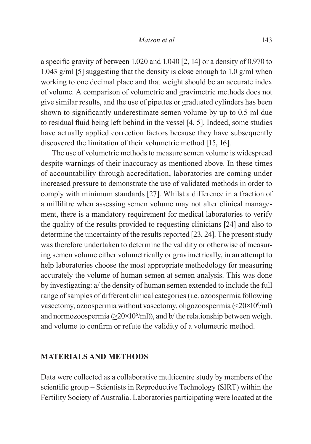a specific gravity of between 1.020 and 1.040 [2, 14] or a density of 0.970 to 1.043 g/ml [5] suggesting that the density is close enough to 1.0 g/ml when working to one decimal place and that weight should be an accurate index of volume. A comparison of volumetric and gravimetric methods does not give similar results, and the use of pipettes or graduated cylinders has been shown to significantly underestimate semen volume by up to 0.5 ml due to residual fluid being left behind in the vessel [4, 5]. Indeed, some studies have actually applied correction factors because they have subsequently discovered the limitation of their volumetric method [15, 16].

The use of volumetric methods to measure semen volume is widespread despite warnings of their inaccuracy as mentioned above. In these times of accountability through accreditation, laboratories are coming under increased pressure to demonstrate the use of validated methods in order to comply with minimum standards [27]. Whilst a difference in a fraction of a millilitre when assessing semen volume may not alter clinical management, there is a mandatory requirement for medical laboratories to verify the quality of the results provided to requesting clinicians [24] and also to determine the uncertainty of the results reported [23, 24]. The present study was therefore undertaken to determine the validity or otherwise of measuring semen volume either volumetrically or gravimetrically, in an attempt to help laboratories choose the most appropriate methodology for measuring accurately the volume of human semen at semen analysis. This was done by investigating: a/ the density of human semen extended to include the full range of samples of different clinical categories (i.e. azoospermia following vasectomy, azoospermia without vasectomy, oligozoospermia (<20×106 /ml) and normozoospermia ( $\geq$ 20×10<sup>6</sup>/ml)), and b/ the relationship between weight and volume to confirm or refute the validity of a volumetric method.

#### **MATERIALS AND METHODS**

Data were collected as a collaborative multicentre study by members of the scientific group – Scientists in Reproductive Technology (SIRT) within the Fertility Society of Australia. Laboratories participating were located at the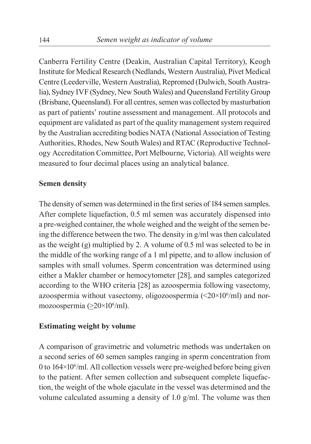Canberra Fertility Centre (Deakin, Australian Capital Territory), Keogh Institute for Medical Research (Nedlands, Western Australia), Pivet Medical Centre (Leederville, Western Australia), Repromed (Dulwich, South Australia), Sydney IVF (Sydney, New South Wales) and Queensland Fertility Group (Brisbane, Queensland). For all centres, semen was collected by masturbation as part of patients' routine assessment and management. All protocols and equipment are validated as part of the quality management system required by the Australian accrediting bodies NATA (National Association of Testing Authorities, Rhodes, New South Wales) and RTAC (Reproductive Technology Accreditation Committee, Port Melbourne, Victoria). All weights were measured to four decimal places using an analytical balance.

## **Semen density**

The density of semen was determined in the first series of 184 semen samples. After complete liquefaction, 0.5 ml semen was accurately dispensed into a pre-weighed container, the whole weighed and the weight of the semen being the difference between the two. The density in g/ml was then calculated as the weight (g) multiplied by 2. A volume of 0.5 ml was selected to be in the middle of the working range of a 1 ml pipette, and to allow inclusion of samples with small volumes. Sperm concentration was determined using either a Makler chamber or hemocytometer [28], and samples categorized according to the WHO criteria [28] as azoospermia following vasectomy, azoospermia without vasectomy, oligozoospermia  $\left( \langle 20 \times 10^6/\text{m1} \rangle \right)$  and normozoospermia  $(\geq 20 \times 10^6$ /ml).

## **Estimating weight by volume**

A comparison of gravimetric and volumetric methods was undertaken on a second series of 60 semen samples ranging in sperm concentration from 0 to 164×10<sup>6</sup>/ml. All collection vessels were pre-weighed before being given to the patient. After semen collection and subsequent complete liquefaction, the weight of the whole ejaculate in the vessel was determined and the volume calculated assuming a density of 1.0 g/ml. The volume was then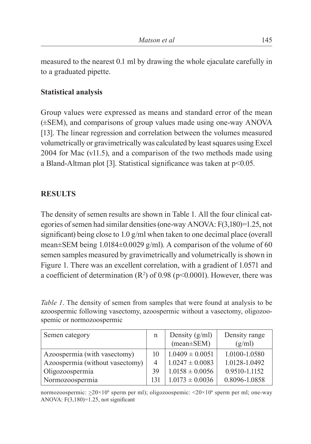measured to the nearest 0.1 ml by drawing the whole ejaculate carefully in to a graduated pipette.

# **Statistical analysis**

Group values were expressed as means and standard error of the mean (±SEM), and comparisons of group values made using one-way ANOVA [13]. The linear regression and correlation between the volumes measured volumetrically or gravimetrically was calculated by least squares using Excel 2004 for Mac (v11.5), and a comparison of the two methods made using a Bland-Altman plot [3]. Statistical significance was taken at  $p<0.05$ .

# **RESULTS**

The density of semen results are shown in Table 1. All the four clinical categories of semen had similar densities (one-way ANOVA: F(3,180)=1.25, not significant) being close to 1.0 g/ml when taken to one decimal place (overall mean±SEM being 1.0184±0.0029 g/ml). A comparison of the volume of 60 semen samples measured by gravimetrically and volumetrically is shown in Figure 1. There was an excellent correlation, with a gradient of 1.0571 and a coefficient of determination  $(R^2)$  of 0.98 (p<0.0001). However, there was

*Table 1*. The density of semen from samples that were found at analysis to be azoospermic following vasectomy, azoospermic without a vasectomy, oligozoospemic or normozoospermic

| Semen category                  | n   | Density $(g/ml)$    | Density range |
|---------------------------------|-----|---------------------|---------------|
|                                 |     | $(mean \pm SEM)$    | (g/ml)        |
| Azoospermia (with vasectomy)    | 10  | $1.0409 \pm 0.0051$ | 1.0100-1.0580 |
| Azoospermia (without vasectomy) |     | $1.0247 \pm 0.0083$ | 1.0128-1.0492 |
| Oligozoospermia                 | 39  | $1.0158 \pm 0.0056$ | 0.9510-1.1152 |
| Normozoospermia                 | 131 | $1.0173 \pm 0.0036$ | 0.8096-1.0858 |

normozoospermic:  $\geq 20 \times 10^6$  sperm per ml); oligozoospemic:  $\leq 20 \times 10^6$  sperm per ml; one-way ANOVA:  $F(3,180)=1.25$ , not significant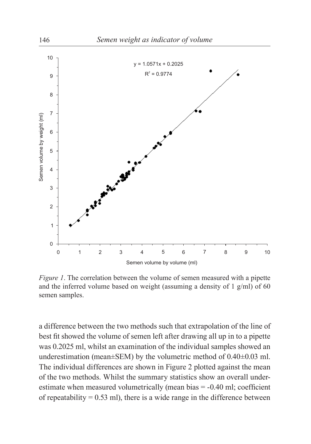

*Figure 1*. The correlation between the volume of semen measured with a pipette and the inferred volume based on weight (assuming a density of  $1$  g/ml) of 60 semen samples.

a difference between the two methods such that extrapolation of the line of best fit showed the volume of semen left after drawing all up in to a pipette was 0.2025 ml, whilst an examination of the individual samples showed an underestimation (mean±SEM) by the volumetric method of 0.40±0.03 ml. The individual differences are shown in Figure 2 plotted against the mean of the two methods. Whilst the summary statistics show an overall underestimate when measured volumetrically (mean bias  $= -0.40$  ml; coefficient of repeatability =  $0.53$  ml), there is a wide range in the difference between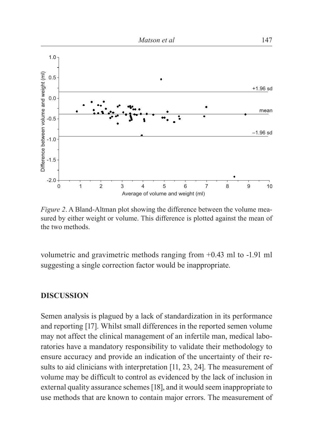

*Figure 2*. A Bland-Altman plot showing the difference between the volume measured by either weight or volume. This difference is plotted against the mean of the two methods.

volumetric and gravimetric methods ranging from +0.43 ml to -1.91 ml suggesting a single correction factor would be inappropriate.

## **DISCUSSION**

Semen analysis is plagued by a lack of standardization in its performance and reporting [17]. Whilst small differences in the reported semen volume may not affect the clinical management of an infertile man, medical laboratories have a mandatory responsibility to validate their methodology to ensure accuracy and provide an indication of the uncertainty of their results to aid clinicians with interpretation [11, 23, 24]. The measurement of volume may be difficult to control as evidenced by the lack of inclusion in external quality assurance schemes [18], and it would seem inappropriate to use methods that are known to contain major errors. The measurement of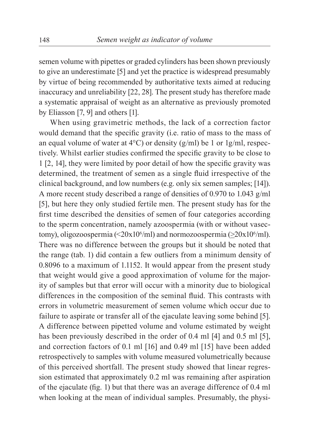semen volume with pipettes or graded cylinders has been shown previously to give an underestimate [5] and yet the practice is widespread presumably by virtue of being recommended by authoritative texts aimed at reducing inaccuracy and unreliability [22, 28]. The present study has therefore made a systematic appraisal of weight as an alternative as previously promoted by Eliasson [7, 9] and others [1].

When using gravimetric methods, the lack of a correction factor would demand that the specific gravity (i.e. ratio of mass to the mass of an equal volume of water at  $4^{\circ}$ C) or density (g/ml) be 1 or 1g/ml, respectively. Whilst earlier studies confirmed the specific gravity to be close to 1 [2, 14], they were limited by poor detail of how the specific gravity was determined, the treatment of semen as a single fluid irrespective of the clinical background, and low numbers (e.g. only six semen samples; [14]). A more recent study described a range of densities of 0.970 to 1.043 g/ml [5], but here they only studied fertile men. The present study has for the first time described the densities of semen of four categories according to the sperm concentration, namely azoospermia (with or without vasectomy), oligozoospermia (<20x10<sup>6</sup>/ml) and normozoospermia ( $\geq$ 20x10<sup>6</sup>/ml). There was no difference between the groups but it should be noted that the range (tab. 1) did contain a few outliers from a minimum density of 0.8096 to a maximum of 1.1152. It would appear from the present study that weight would give a good approximation of volume for the majority of samples but that error will occur with a minority due to biological differences in the composition of the seminal fluid. This contrasts with errors in volumetric measurement of semen volume which occur due to failure to aspirate or transfer all of the ejaculate leaving some behind [5]. A difference between pipetted volume and volume estimated by weight has been previously described in the order of 0.4 ml [4] and 0.5 ml [5], and correction factors of 0.1 ml [16] and 0.49 ml [15] have been added retrospectively to samples with volume measured volumetrically because of this perceived shortfall. The present study showed that linear regression estimated that approximately 0.2 ml was remaining after aspiration of the ejaculate (fig. 1) but that there was an average difference of  $0.4$  ml when looking at the mean of individual samples. Presumably, the physi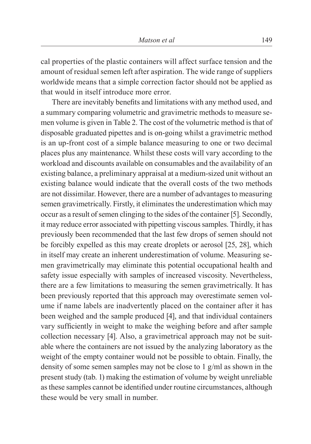cal properties of the plastic containers will affect surface tension and the amount of residual semen left after aspiration. The wide range of suppliers worldwide means that a simple correction factor should not be applied as that would in itself introduce more error.

There are inevitably benefits and limitations with any method used, and a summary comparing volumetric and gravimetric methods to measure semen volume is given in Table 2. The cost of the volumetric method is that of disposable graduated pipettes and is on-going whilst a gravimetric method is an up-front cost of a simple balance measuring to one or two decimal places plus any maintenance. Whilst these costs will vary according to the workload and discounts available on consumables and the availability of an existing balance, a preliminary appraisal at a medium-sized unit without an existing balance would indicate that the overall costs of the two methods are not dissimilar. However, there are a number of advantages to measuring semen gravimetrically. Firstly, it eliminates the underestimation which may occur as a result of semen clinging to the sides of the container [5]. Secondly, it may reduce error associated with pipetting viscous samples. Thirdly, it has previously been recommended that the last few drops of semen should not be forcibly expelled as this may create droplets or aerosol [25, 28], which in itself may create an inherent underestimation of volume. Measuring semen gravimetrically may eliminate this potential occupational health and safety issue especially with samples of increased viscosity. Nevertheless, there are a few limitations to measuring the semen gravimetrically. It has been previously reported that this approach may overestimate semen volume if name labels are inadvertently placed on the container after it has been weighed and the sample produced [4], and that individual containers vary sufficiently in weight to make the weighing before and after sample collection necessary [4]. Also, a gravimetrical approach may not be suitable where the containers are not issued by the analyzing laboratory as the weight of the empty container would not be possible to obtain. Finally, the density of some semen samples may not be close to 1 g/ml as shown in the present study (tab. 1) making the estimation of volume by weight unreliable as these samples cannot be identified under routine circumstances, although these would be very small in number.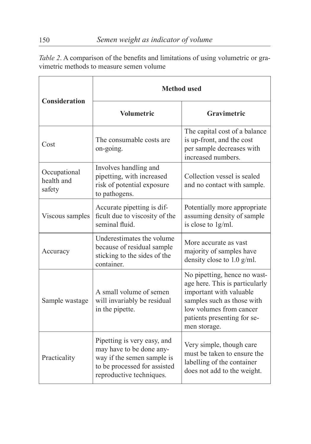| <b>Consideration</b>                 | <b>Method</b> used                                                                                                                                |                                                                                                                                                                                                   |  |  |
|--------------------------------------|---------------------------------------------------------------------------------------------------------------------------------------------------|---------------------------------------------------------------------------------------------------------------------------------------------------------------------------------------------------|--|--|
|                                      | <b>Volumetric</b>                                                                                                                                 | Gravimetric                                                                                                                                                                                       |  |  |
| Cost                                 | The consumable costs are<br>on-going.                                                                                                             | The capital cost of a balance<br>is up-front, and the cost<br>per sample decreases with<br>increased numbers.                                                                                     |  |  |
| Occupational<br>health and<br>safety | Involves handling and<br>pipetting, with increased<br>risk of potential exposure<br>to pathogens.                                                 | Collection vessel is sealed<br>and no contact with sample.                                                                                                                                        |  |  |
| Viscous samples                      | Accurate pipetting is dif-<br>ficult due to viscosity of the<br>seminal fluid.                                                                    | Potentially more appropriate<br>assuming density of sample<br>is close to 1g/ml.                                                                                                                  |  |  |
| Accuracy                             | Underestimates the volume<br>because of residual sample<br>sticking to the sides of the<br>container.                                             | More accurate as vast<br>majority of samples have<br>density close to $1.0$ g/ml.                                                                                                                 |  |  |
| Sample wastage                       | A small volume of semen<br>will invariably be residual<br>in the pipette.                                                                         | No pipetting, hence no wast-<br>age here. This is particularly<br>important with valuable<br>samples such as those with<br>low volumes from cancer<br>patients presenting for se-<br>men storage. |  |  |
| Practicality                         | Pipetting is very easy, and<br>may have to be done any-<br>way if the semen sample is<br>to be processed for assisted<br>reproductive techniques. | Very simple, though care<br>must be taken to ensure the<br>labelling of the container<br>does not add to the weight.                                                                              |  |  |

Table 2. A comparison of the benefits and limitations of using volumetric or gravimetric methods to measure semen volume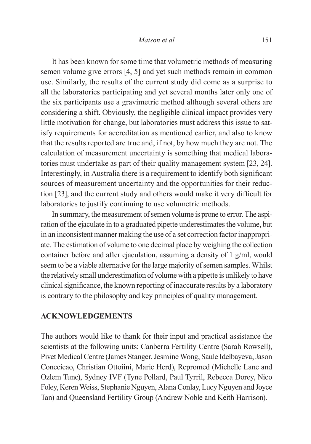It has been known for some time that volumetric methods of measuring semen volume give errors [4, 5] and yet such methods remain in common use. Similarly, the results of the current study did come as a surprise to all the laboratories participating and yet several months later only one of the six participants use a gravimetric method although several others are considering a shift. Obviously, the negligible clinical impact provides very little motivation for change, but laboratories must address this issue to satisfy requirements for accreditation as mentioned earlier, and also to know that the results reported are true and, if not, by how much they are not. The calculation of measurement uncertainty is something that medical laboratories must undertake as part of their quality management system [23, 24]. Interestingly, in Australia there is a requirement to identify both significant sources of measurement uncertainty and the opportunities for their reduction [23], and the current study and others would make it very difficult for laboratories to justify continuing to use volumetric methods.

In summary, the measurement of semen volume is prone to error. The aspiration of the ejaculate in to a graduated pipette underestimates the volume, but in an inconsistent manner making the use of a set correction factor inappropriate. The estimation of volume to one decimal place by weighing the collection container before and after ejaculation, assuming a density of 1 g/ml, would seem to be a viable alternative for the large majority of semen samples. Whilst the relatively small underestimation of volume with a pipette is unlikely to have clinical significance, the known reporting of inaccurate results by a laboratory is contrary to the philosophy and key principles of quality management.

## **ACKNOWLEDGEMENTS**

The authors would like to thank for their input and practical assistance the scientists at the following units: Canberra Fertility Centre (Sarah Rowsell), Pivet Medical Centre (James Stanger, Jesmine Wong, Saule Idelbayeva, Jason Conceicao, Christian Ottoiini, Marie Herd), Repromed (Michelle Lane and Ozlem Tunc), Sydney IVF (Tyne Pollard, Paul Tyrril, Rebecca Dorey, Nico Foley, Keren Weiss, Stephanie Nguyen, Alana Conlay, Lucy Nguyen and Joyce Tan) and Queensland Fertility Group (Andrew Noble and Keith Harrison).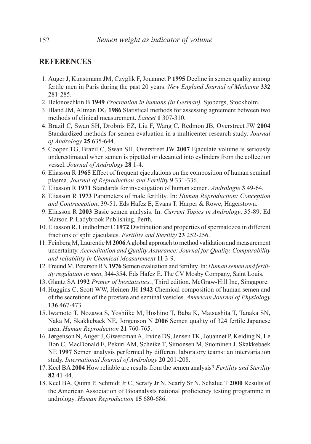#### **REFERENCES**

- 1. Auger J, Kunstmann JM, Czyglik F, Jouannet P **1995** Decline in semen quality among fertile men in Paris during the past 20 years. *New England Journal of Medicine* **332** 281-285.
- 2. Belonoschkin B **1949** *Procreation in humans (in German).* Sjobergs, Stockholm.
- 3. Bland JM, Altman DG **1986** Statistical methods for assessing agreement between two methods of clinical measurement. *Lancet* **1** 307-310.
- 4. Brazil C, Swan SH, Drobnis EZ, Liu F, Wang C, Redmon JB, Overstreet JW **2004** Standardized methods for semen evaluation in a multicenter research study. *Journal of Andrology* **25** 635-644.
- 5. Cooper TG, Brazil C, Swan SH, Overstreet JW **2007** Ejaculate volume is seriously underestimated when semen is pipetted or decanted into cylinders from the collection vessel. *Journal of Andrology* **28** 1-4.
- 6. Eliasson R **1965** Effect of frequent ejaculations on the composition of human seminal plasma. *Journal of Reproduction and Fertility* **9** 331-336.
- 7. Eliasson R **1971** Standards for investigation of human semen. *Andrologie* **3** 49-64.
- 8. Eliasson R **1973** Parameters of male fertility. In: *Human Reproduction: Conception and Contraception*, 39-51. Eds Hafez E, Evans T. Harper & Rowe, Hagerstown.
- 9. Eliasson R **2003** Basic semen analysis. In: *Current Topics in Andrology*, 35-89. Ed Matson P. Ladybrook Publishing, Perth.
- 10. Eliasson R, Lindholmer C **1972** Distribution and properties of spermatozoa in different fractions of split ejaculates. *Fertility and Sterility* **23** 252-256.
- 11. Feinberg M, Laurentie M **2006** A global approach to method validation and measurement uncertainty. *Accreditation and Quality Assurance: Journal for Quality, Comparability and reliability in Chemical Measurement* **11** 3-9.
- 12. Freund M, Peterson RN **1976** Semen evaluation and fertility. In: *Human semen and fertility regulation in men*, 344-354. Eds Hafez E. The CV Mosby Company, Saint Louis.
- 13. Glantz SA **1992** *Primer of biostatistics.*, Third edition. McGraw-Hill Inc, Singapore.
- 14. Huggins C, Scott WW, Heinen JH **1942** Chemical composition of human semen and of the secretions of the prostate and seminal vesicles. *American Journal of Physiology*  **136** 467-473.
- 15. Iwamoto T, Nozawa S, Yoshiike M, Hoshino T, Baba K, Matsushita T, Tanaka SN, Naka M, Skakkebaek NE, Jorgenson N **2006** Semen quality of 324 fertile Japanese men. *Human Reproduction* **21** 760-765.
- 16. Jørgenson N, Auger J, Giwercman A, Irvine DS, Jensen TK, Jouannet P, Keiding N, Le Bon C, MacDonald E, Pekuri AM, Scheike T, Simonsen M, Suominen J, Skakkebaek NE **1997** Semen analysis performed by different laboratory teams: an intervariation study. *International Journal of Andrology* **20** 201-208.
- 17. Keel BA **2004** How reliable are results from the semen analysis? *Fertility and Sterility*  **82** 41-44.
- 18. Keel BA, Quinn P, Schmidt Jr C, Serafy Jr N, Searfy Sr N, Schalue T **2000** Results of the American Association of Bioanalysts national proficiency testing programme in andrology. *Human Reproduction* **15** 680-686.